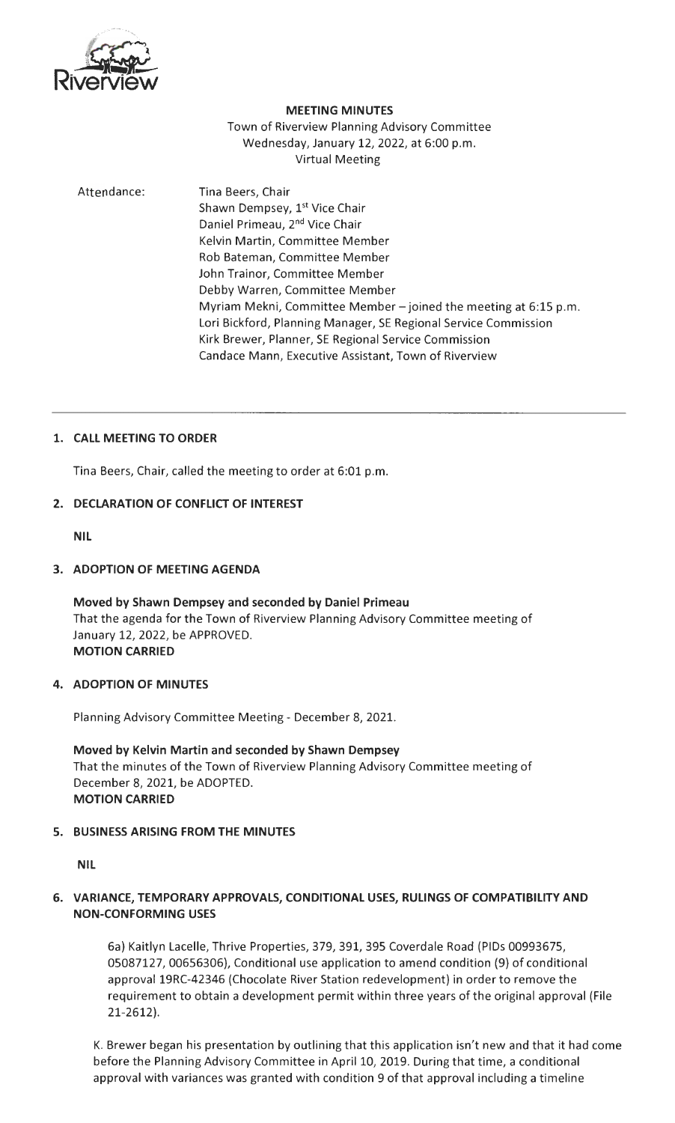

#### **MEETING MINUTES**

Town of Riverview Planning Advisory Committee Wednesday, January 12, 2022, at 6:00 p.m. Virtual Meeting

# Attendance: Tina Beers, Chair Shawn Dempsey, 1<sup>st</sup> Vice Chair Daniel Primeau, 2nd Vice Chair Kelvin Martin, Committee Member Rob Bateman, Committee Member John Trainor, Committee Member Debby Warren, Committee Member Myriam Mekni, Committee Member - joined the meeting at 6:15 p.m. Lori Bickford, Planning Manager, SE Regional Service Commission Kirk Brewer, Planner, SE Regional Service Commission Candace Mann, Executive Assistant, Town of Riverview

# **1. CALL MEETING TO ORDER**

Tina Beers, Chair, called the meeting to order at 6:01 p.m.

### **2. DECLARATION OF CONFLICT OF INTEREST**

**NIL** 

### **3. ADOPTION OF MEETING AGENDA**

**Moved by Shawn Dempsey and seconded by Daniel Primeau**  That the agenda for the Town of Riverview Planning Advisory Committee meeting of January 12, 2022, be APPROVED. **MOTION CARRIED** 

### **4. ADOPTION OF MINUTES**

Planning Advisory Committee Meeting - December 8, 2021.

**Moved by Kelvin Martin and seconded by Shawn Dempsey**  That the minutes of the Town of Riverview Planning Advisory Committee meeting of December 8, 2021, be ADOPTED. **MOTION CARRIED** 

### **5. BUSINESS ARISING FROM THE MINUTES**

**NIL** 

# **6. VARIANCE, TEMPORARY APPROVALS, CONDITIONAL USES, RULINGS OF COMPATIBILITY AND NON-CONFORMING USES**

6a) Kaitlyn Lacelle, Thrive Properties, 379, 391, 395 Coverdale Road (PIDs 00993675, 05087127, 00656306), Conditional use application to amend condition (9) of conditional approval 19RC-42346 (Chocolate River Station redevelopment) in order to remove the requirement to obtain a development permit within three years of the original approval (File 21-2612).

K. Brewer began his presentation by outlining that this application isn't new and that it had come before the Planning Advisory Committee in April 10, 2019. During that time, a conditional approval with variances was granted with condition 9 of that approval including a timeline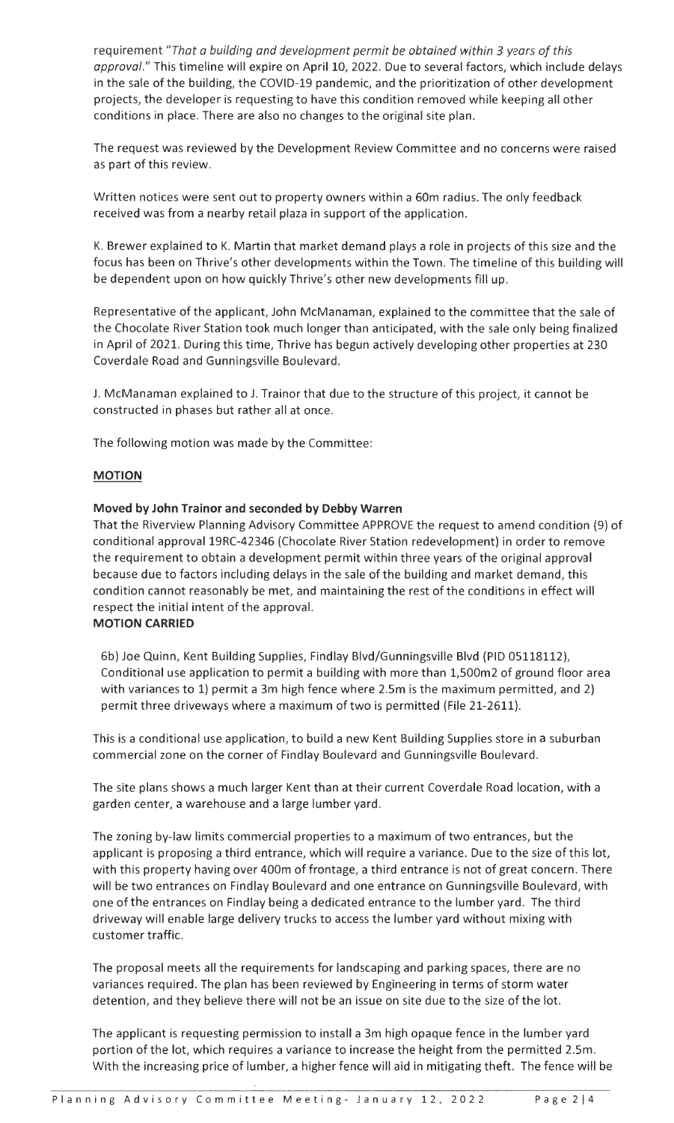requirement *"That a building and development permit be obtained within 3 years of this approval."* This timeline will expire on April 10, 2022. Due to several factors, which include delays in the sale of the building, the COVID-19 pandemic, and the prioritization of other development projects, the developer is requesting to have this condition removed while keeping all other conditions in place. There are also no changes to the original site plan.

The request was reviewed by the Development Review Committee and no concerns were raised as part of this review.

Written notices were sent out to property owners within a 60m radius. The only feedback received was from a nearby retail plaza in support of the application.

K. Brewer explained to K. Martin that market demand plays a role in projects of this size and the focus has been on Thrive's other developments within the Town. The timeline of this building will be dependent upon on how quickly Thrive's other new developments fill up.

Representative of the applicant, John McManaman, explained to the committee that the sale of the Chocolate River Station took much longer than anticipated, with the sale only being finalized in April of 2021. During this time, Thrive has begun actively developing other properties at 230 Coverdale Road and Gunningsville Boulevard.

J. McManaman explained to J. Trainor that due to the structure of this project, it cannot be constructed in phases but rather all at once.

The following motion was made by the Committee :

# **MOTION**

### **Moved by John Trainor and seconded by Debby Warren**

That the Riverview Planning Advisory Committee APPROVE the request to amend condition (9) of conditional approval 19RC-42346 (Chocolate River Station redevelopment) in order to remove the requirement to obtain a development permit within three years of the original approval because due to factors including delays in the sale of the building and market demand, this condition cannot reasonably be met, and maintaining the rest of the conditions in effect will respect the initial intent of the approval.

### **MOTION CARRIED**

6b) Joe Quinn, Kent Building Supplies, Findlay Blvd/Gunningsville Blvd (PID 05118112), Conditional use application to permit a building with more than 1,500m2 of ground floor area with variances to 1) permit a 3m high fence where 2.Sm is the maximum permitted, and 2) permit three driveways where a maximum of two is permitted (File 21-2611).

This is a conditional use application, to build a new Kent Building Supplies store in a suburban commercial zone on the corner of Findlay Boulevard and Gunningsville Boulevard.

The site plans shows a much larger Kent than at their current Coverdale Road location, with a garden center, a warehouse and a large lumber yard.

The zoning by-law limits commercial properties to a maximum of two entrances, but the applicant is proposing a third entrance, which will require a variance. Due to the size of this lot, with this property having over 400m of frontage, a third entrance is not of great concern. There will be two entrances on Findlay Boulevard and one entrance on Gunningsville Boulevard, with one of the entrances on Findlay being a dedicated entrance to the lumber yard. The third driveway will enable large delivery trucks to access the lumber yard without mixing with customer traffic.

The proposal meets all the requirements for landscaping and parking spaces, there are no variances required. The plan has been reviewed by Engineering in terms of storm water detention, and they believe there will not be an issue on site due to the size of the lot.

The applicant is requesting permission to install a 3m high opaque fence in the lumber yard portion of the lot, which requires a variance to increase the height from the permitted 2.Sm. With the increasing price of lumber, a higher fence will aid in mitigating theft. The fence will be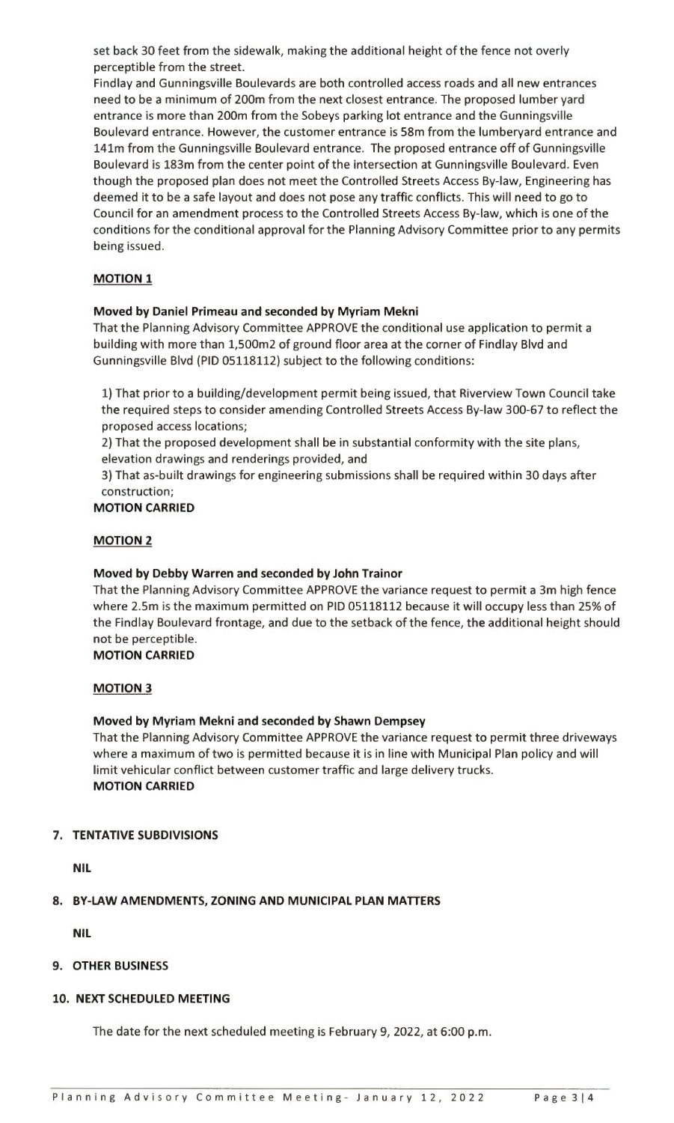set back 30 feet from the sidewalk, making the additional height of the fence not overly perceptible from the street.

Findlay and Gunningsville Boulevards are both controlled access roads and all new entrances need to be a minimum of 200m from the next closest entrance. The proposed lumber yard entrance is more than 200m from the Sobeys parking lot entrance and the Gunningsville Boulevard entrance. However, the customer entrance is 58m from the lumberyard entrance and 141m from the Gunningsville Boulevard entrance. The proposed entrance off of Gunningsville Boulevard is 183m from the center point of the intersection at Gunningsville Boulevard. Even though the proposed plan does not meet the Controlled Streets Access By-law, Engineering has deemed it to be a safe layout and does not pose any traffic conflicts. This will need to go to Council for an amendment process to the Controlled Streets Access By-law, which is one of the conditions for the conditional approval for the Planning Advisory Committee prior to any permits being issued.

# **MOTION 1**

# **Moved by Daniel Primeau and seconded by Myriam Mekni**

That the Planning Advisory Committee APPROVE the conditional use application to permit a building with more than 1,500m2 of ground floor area at the corner of Findlay Blvd and Gunningsville Blvd (PID 05118112) subject to the following conditions:

1) That prior to a building/development permit being issued, that Riverview Town Council take the required steps to consider amending Controlled Streets Access By-law 300-67 to reflect the proposed access locations;

2) That the proposed development shall be in substantial conformity with the site plans, elevation drawings and renderings provided, and

3) That as-built drawings for engineering submissions shall be required within 30 days after construction;

# **MOTION CARRIED**

### **MOTION 2**

### **Moved by Debby Warren and seconded by John Trainor**

That the Planning Advisory Committee APPROVE the variance request to permit a 3m high fence where 2.5m is the maximum permitted on PID 05118112 because it will occupy less than 25% of the Findlay Boulevard frontage, and due to the setback of the fence, the additional height should not be perceptible.

### **MOTION CARRIED**

### **MOTION 3**

### **Moved by Myriam Mekni and seconded by Shawn Dempsey**

That the Planning Advisory Committee APPROVE the variance request to permit three driveways where a maximum of two is permitted because it is in line with Municipal Plan policy and will limit vehicular conflict between customer traffic and large delivery trucks. **MOTION CARRIED** 

### **7. TENTATIVE SUBDIVISIONS**

**NIL** 

### **8. BY-LAW AMENDMENTS, ZONING AND MUNICIPAL PLAN MATTERS**

**NIL** 

# **9. OTHER BUSINESS**

# **10. NEXT SCHEDULED MEETING**

The date for the next scheduled meeting is February 9, 2022, at 6:00 p.m.